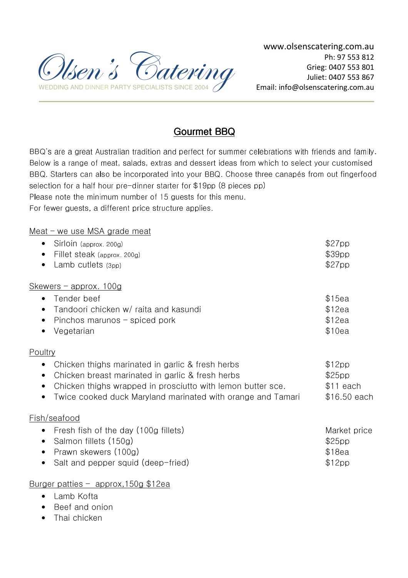

# Gourmet BBQ

BBQ's are a great Australian tradition and perfect for summer celebrations with friends and family. Below is a range of meat, salads, extras and dessert ideas from which to select your customised BBQ. Starters can also be incorporated into your BBQ. Choose three canapés from out fingerfood selection for a half hour pre-dinner starter for \$19pp (8 pieces pp) Please note the minimum number of 15 guests for this menu.

For fewer guests, a different price structure applies.

## Meat – we use MSA grade meat

| Sirloin (approx. 200g)<br>$\bullet$                                                                                                                                                                        | \$27pp                         |
|------------------------------------------------------------------------------------------------------------------------------------------------------------------------------------------------------------|--------------------------------|
| Fillet steak (approx. 200g)<br>$\bullet$                                                                                                                                                                   | \$39pp                         |
| Lamb cutlets (3pp)<br>$\bullet$                                                                                                                                                                            | \$27pp                         |
| $Skewers$ – approx. 100g                                                                                                                                                                                   |                                |
| Tender beef<br>$\bullet$                                                                                                                                                                                   | \$15ea                         |
| Tandoori chicken w/ raita and kasundi<br>$\bullet$                                                                                                                                                         | \$12ea                         |
| Pinchos marunos – spiced pork<br>٠                                                                                                                                                                         | \$12ea                         |
| Vegetarian<br>$\bullet$                                                                                                                                                                                    | \$10ea                         |
| Poultry                                                                                                                                                                                                    |                                |
| Chicken thighs marinated in garlic & fresh herbs<br>$\bullet$<br>Chicken breast marinated in garlic & fresh herbs<br>$\bullet$<br>Chicken thighs wrapped in prosciutto with lemon butter sce.<br>$\bullet$ | \$12pp<br>\$25pp<br>$$11$ each |
| Twice cooked duck Maryland marinated with orange and Tamari<br>$\bullet$<br>Fish/seafood                                                                                                                   | \$16.50 each                   |
| Fresh fish of the day (100g fillets)<br>$\bullet$                                                                                                                                                          | Market price                   |
| Salmon fillets (150g)<br>$\bullet$                                                                                                                                                                         | \$25pp                         |
| Prawn skewers (100g)<br>$\bullet$                                                                                                                                                                          | \$18ea                         |
| Salt and pepper squid (deep-fried)                                                                                                                                                                         | \$12pp                         |
|                                                                                                                                                                                                            |                                |

## Burger patties – approx,150g \$12ea

- Lamb Kofta
- Beef and onion
- Thai chicken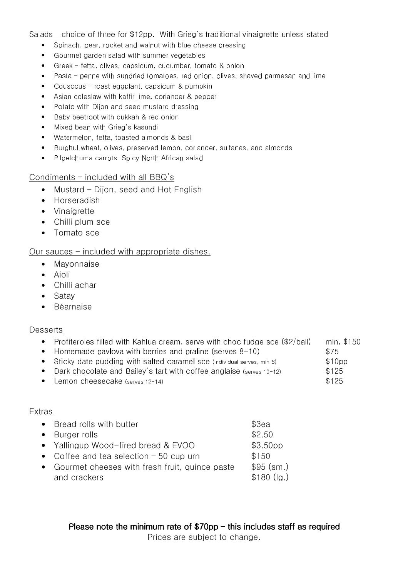Salads – choice of three for \$12pp. With Grieg's traditional vinaigrette unless stated

- Spinach, pear, rocket and walnut with blue cheese dressing
- Gourmet garden salad with summer vegetables
- Greek fetta, olives, capsicum, cucumber, tomato & onion
- Pasta penne with sundried tomatoes, red onion, olives, shaved parmesan and lime
- Couscous roast eggplant, capsicum & pumpkin
- Asian coleslaw with kaffir lime, coriander & pepper
- Potato with Dijon and seed mustard dressing
- Baby beetroot with dukkah & red onion
- Mixed bean with Grieg's kasundi
- Watermelon, fetta, toasted almonds & basil
- Burghul wheat, olives, preserved lemon, coriander, sultanas, and almonds
- Pilpelchuma carrots. Spicy North African salad

#### Condiments – included with all BBQ's

- Mustard Dijon, seed and Hot English
- Horseradish
- Vinaigrette
- Chilli plum sce
- Tomato sce

### Our sauces – included with appropriate dishes.

- Mayonnaise
- Aioli
- Chilli achar
- Satay
- Béarnaise

#### **Desserts**

- Profiteroles filled with Kahlua cream, serve with choc fudge sce (\$2/ball) min. \$150
- Homemade pavlova with berries and praline (serves 8-10)  $\sim$  \$75
- Sticky date pudding with salted caramel sce (individual serves, min 6) \$10pp
- Dark chocolate and Bailey's tart with coffee anglaise (serves 10-12) \$125
- Lemon cheesecake (serves 12-14) **\$125**

#### Extras

| • Bread rolls with butter                        | \$3ea                |
|--------------------------------------------------|----------------------|
| • Burger rolls                                   | \$2.50               |
| • Yallingup Wood-fired bread & EVOO              | \$3.50 <sub>pp</sub> |
| • Coffee and tea selection $-50$ cup urn         | \$150                |
| • Gourmet cheeses with fresh fruit, quince paste | $$95$ (sm.)          |
| and crackers                                     | $$180$ (lg.)         |
|                                                  |                      |

Please note the minimum rate of  $$70p$ p – this includes staff as required Prices are subject to change.